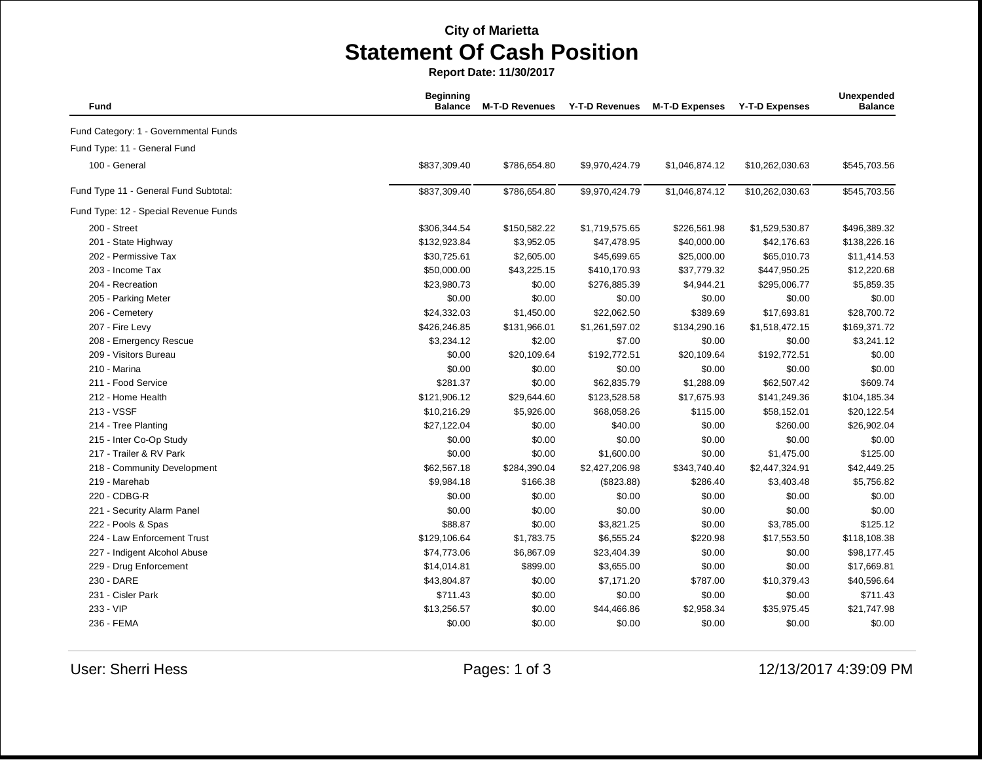## **City of Marietta Statement Of Cash Position**

**Report Date: 11/30/2017**

| Fund                                  | <b>Beginning</b><br><b>Balance</b> | <b>M-T-D Revenues</b> | <b>Y-T-D Revenues</b> | <b>M-T-D Expenses</b> | <b>Y-T-D Expenses</b> | Unexpended<br><b>Balance</b> |
|---------------------------------------|------------------------------------|-----------------------|-----------------------|-----------------------|-----------------------|------------------------------|
| Fund Category: 1 - Governmental Funds |                                    |                       |                       |                       |                       |                              |
| Fund Type: 11 - General Fund          |                                    |                       |                       |                       |                       |                              |
| 100 - General                         | \$837,309.40                       | \$786,654.80          | \$9,970,424.79        | \$1,046,874.12        | \$10,262,030.63       | \$545,703.56                 |
| Fund Type 11 - General Fund Subtotal: | \$837,309.40                       | \$786,654.80          | \$9,970,424.79        | \$1,046,874.12        | \$10,262,030.63       | \$545,703.56                 |
| Fund Type: 12 - Special Revenue Funds |                                    |                       |                       |                       |                       |                              |
| 200 - Street                          | \$306,344.54                       | \$150,582.22          | \$1,719,575.65        | \$226,561.98          | \$1,529,530.87        | \$496,389.32                 |
| 201 - State Highway                   | \$132,923.84                       | \$3,952.05            | \$47,478.95           | \$40,000.00           | \$42,176.63           | \$138,226.16                 |
| 202 - Permissive Tax                  | \$30,725.61                        | \$2,605.00            | \$45,699.65           | \$25,000.00           | \$65,010.73           | \$11,414.53                  |
| 203 - Income Tax                      | \$50,000.00                        | \$43,225.15           | \$410,170.93          | \$37,779.32           | \$447,950.25          | \$12,220.68                  |
| 204 - Recreation                      | \$23,980.73                        | \$0.00                | \$276,885.39          | \$4,944.21            | \$295,006.77          | \$5,859.35                   |
| 205 - Parking Meter                   | \$0.00                             | \$0.00                | \$0.00                | \$0.00                | \$0.00                | \$0.00                       |
| 206 - Cemetery                        | \$24,332.03                        | \$1,450.00            | \$22,062.50           | \$389.69              | \$17,693.81           | \$28,700.72                  |
| 207 - Fire Levy                       | \$426,246.85                       | \$131,966.01          | \$1,261,597.02        | \$134,290.16          | \$1,518,472.15        | \$169,371.72                 |
| 208 - Emergency Rescue                | \$3,234.12                         | \$2.00                | \$7.00                | \$0.00                | \$0.00                | \$3,241.12                   |
| 209 - Visitors Bureau                 | \$0.00                             | \$20,109.64           | \$192,772.51          | \$20,109.64           | \$192,772.51          | \$0.00                       |
| 210 - Marina                          | \$0.00                             | \$0.00                | \$0.00                | \$0.00                | \$0.00                | \$0.00                       |
| 211 - Food Service                    | \$281.37                           | \$0.00                | \$62,835.79           | \$1,288.09            | \$62,507.42           | \$609.74                     |
| 212 - Home Health                     | \$121,906.12                       | \$29,644.60           | \$123,528.58          | \$17,675.93           | \$141,249.36          | \$104,185.34                 |
| 213 - VSSF                            | \$10,216.29                        | \$5,926.00            | \$68,058.26           | \$115.00              | \$58,152.01           | \$20,122.54                  |
| 214 - Tree Planting                   | \$27,122.04                        | \$0.00                | \$40.00               | \$0.00                | \$260.00              | \$26,902.04                  |
| 215 - Inter Co-Op Study               | \$0.00                             | \$0.00                | \$0.00                | \$0.00                | \$0.00                | \$0.00                       |
| 217 - Trailer & RV Park               | \$0.00                             | \$0.00                | \$1,600.00            | \$0.00                | \$1,475.00            | \$125.00                     |
| 218 - Community Development           | \$62,567.18                        | \$284,390.04          | \$2,427,206.98        | \$343,740.40          | \$2,447,324.91        | \$42,449.25                  |
| 219 - Marehab                         | \$9,984.18                         | \$166.38              | (\$823.88)            | \$286.40              | \$3,403.48            | \$5,756.82                   |
| 220 - CDBG-R                          | \$0.00                             | \$0.00                | \$0.00                | \$0.00                | \$0.00                | \$0.00                       |
| 221 - Security Alarm Panel            | \$0.00                             | \$0.00                | \$0.00                | \$0.00                | \$0.00                | \$0.00                       |
| 222 - Pools & Spas                    | \$88.87                            | \$0.00                | \$3,821.25            | \$0.00                | \$3,785.00            | \$125.12                     |
| 224 - Law Enforcement Trust           | \$129,106.64                       | \$1,783.75            | \$6,555.24            | \$220.98              | \$17,553.50           | \$118,108.38                 |
| 227 - Indigent Alcohol Abuse          | \$74,773.06                        | \$6,867.09            | \$23,404.39           | \$0.00                | \$0.00                | \$98,177.45                  |
| 229 - Drug Enforcement                | \$14,014.81                        | \$899.00              | \$3,655.00            | \$0.00                | \$0.00                | \$17,669.81                  |
| 230 - DARE                            | \$43,804.87                        | \$0.00                | \$7,171.20            | \$787.00              | \$10,379.43           | \$40,596.64                  |
| 231 - Cisler Park                     | \$711.43                           | \$0.00                | \$0.00                | \$0.00                | \$0.00                | \$711.43                     |
| 233 - VIP                             | \$13,256.57                        | \$0.00                | \$44,466.86           | \$2,958.34            | \$35,975.45           | \$21,747.98                  |
| 236 - FEMA                            | \$0.00                             | \$0.00                | \$0.00                | \$0.00                | \$0.00                | \$0.00                       |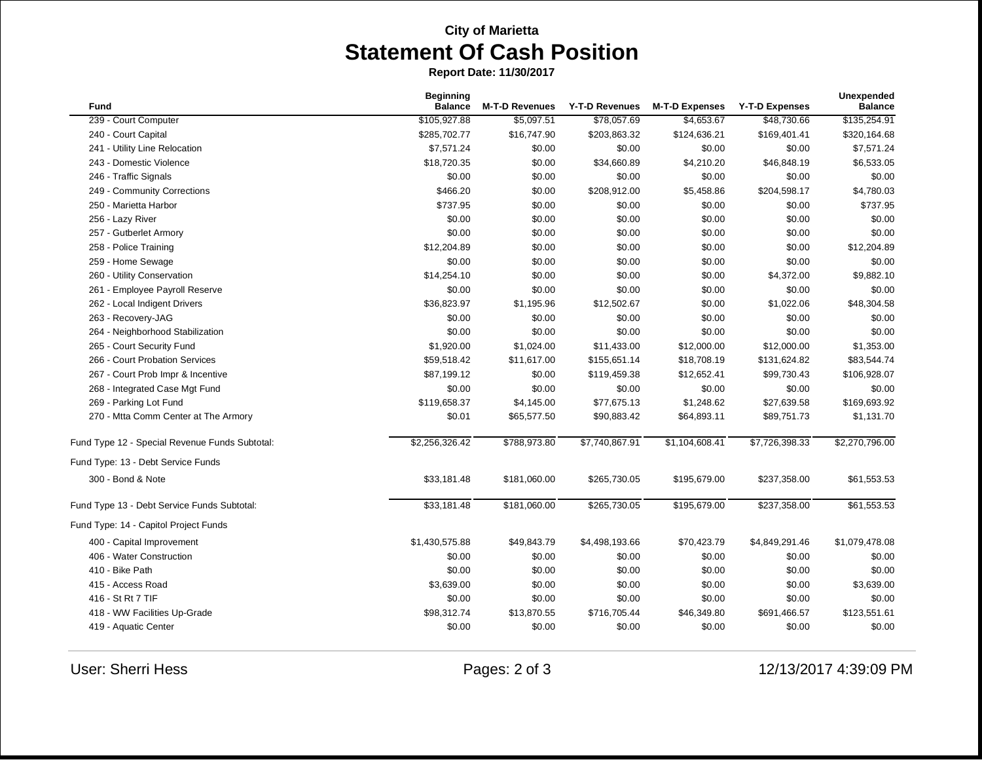## **City of Marietta Statement Of Cash Position**

**Report Date: 11/30/2017**

| Fund                                           | <b>Beginning</b><br><b>Balance</b> | <b>M-T-D Revenues</b> | Y-T-D Revenues | <b>M-T-D Expenses</b> | <b>Y-T-D Expenses</b> | Unexpended<br><b>Balance</b> |
|------------------------------------------------|------------------------------------|-----------------------|----------------|-----------------------|-----------------------|------------------------------|
| 239 - Court Computer                           | \$105,927.88                       | \$5,097.51            | \$78,057.69    | \$4,653.67            | \$48,730.66           | \$135,254.91                 |
| 240 - Court Capital                            | \$285,702.77                       | \$16,747.90           | \$203,863.32   | \$124,636.21          | \$169,401.41          | \$320,164.68                 |
| 241 - Utility Line Relocation                  | \$7,571.24                         | \$0.00                | \$0.00         | \$0.00                | \$0.00                | \$7,571.24                   |
| 243 - Domestic Violence                        | \$18,720.35                        | \$0.00                | \$34,660.89    | \$4,210.20            | \$46,848.19           | \$6,533.05                   |
| 246 - Traffic Signals                          | \$0.00                             | \$0.00                | \$0.00         | \$0.00                | \$0.00                | \$0.00                       |
| 249 - Community Corrections                    | \$466.20                           | \$0.00                | \$208,912.00   | \$5,458.86            | \$204,598.17          | \$4,780.03                   |
| 250 - Marietta Harbor                          | \$737.95                           | \$0.00                | \$0.00         | \$0.00                | \$0.00                | \$737.95                     |
| 256 - Lazy River                               | \$0.00                             | \$0.00                | \$0.00         | \$0.00                | \$0.00                | \$0.00                       |
| 257 - Gutberlet Armory                         | \$0.00                             | \$0.00                | \$0.00         | \$0.00                | \$0.00                | \$0.00                       |
| 258 - Police Training                          | \$12,204.89                        | \$0.00                | \$0.00         | \$0.00                | \$0.00                | \$12,204.89                  |
| 259 - Home Sewage                              | \$0.00                             | \$0.00                | \$0.00         | \$0.00                | \$0.00                | \$0.00                       |
| 260 - Utility Conservation                     | \$14,254.10                        | \$0.00                | \$0.00         | \$0.00                | \$4,372.00            | \$9,882.10                   |
| 261 - Employee Payroll Reserve                 | \$0.00                             | \$0.00                | \$0.00         | \$0.00                | \$0.00                | \$0.00                       |
| 262 - Local Indigent Drivers                   | \$36,823.97                        | \$1,195.96            | \$12,502.67    | \$0.00                | \$1,022.06            | \$48,304.58                  |
| 263 - Recovery-JAG                             | \$0.00                             | \$0.00                | \$0.00         | \$0.00                | \$0.00                | \$0.00                       |
| 264 - Neighborhood Stabilization               | \$0.00                             | \$0.00                | \$0.00         | \$0.00                | \$0.00                | \$0.00                       |
| 265 - Court Security Fund                      | \$1,920.00                         | \$1,024.00            | \$11,433.00    | \$12,000.00           | \$12,000.00           | \$1,353.00                   |
| 266 - Court Probation Services                 | \$59,518.42                        | \$11,617.00           | \$155,651.14   | \$18,708.19           | \$131,624.82          | \$83,544.74                  |
| 267 - Court Prob Impr & Incentive              | \$87,199.12                        | \$0.00                | \$119,459.38   | \$12,652.41           | \$99,730.43           | \$106,928.07                 |
| 268 - Integrated Case Mgt Fund                 | \$0.00                             | \$0.00                | \$0.00         | \$0.00                | \$0.00                | \$0.00                       |
| 269 - Parking Lot Fund                         | \$119,658.37                       | \$4,145.00            | \$77,675.13    | \$1,248.62            | \$27,639.58           | \$169,693.92                 |
| 270 - Mtta Comm Center at The Armory           | \$0.01                             | \$65,577.50           | \$90,883.42    | \$64,893.11           | \$89,751.73           | \$1,131.70                   |
| Fund Type 12 - Special Revenue Funds Subtotal: | \$2,256,326.42                     | \$788,973.80          | \$7,740,867.91 | \$1,104,608.41        | \$7,726,398.33        | \$2,270,796.00               |
| Fund Type: 13 - Debt Service Funds             |                                    |                       |                |                       |                       |                              |
| 300 - Bond & Note                              | \$33,181.48                        | \$181,060.00          | \$265,730.05   | \$195,679.00          | \$237,358.00          | \$61,553.53                  |
| Fund Type 13 - Debt Service Funds Subtotal:    | \$33,181.48                        | \$181,060.00          | \$265,730.05   | \$195,679.00          | \$237,358.00          | \$61,553.53                  |
| Fund Type: 14 - Capitol Project Funds          |                                    |                       |                |                       |                       |                              |
| 400 - Capital Improvement                      | \$1,430,575.88                     | \$49,843.79           | \$4,498,193.66 | \$70,423.79           | \$4,849,291.46        | \$1,079,478.08               |
| 406 - Water Construction                       | \$0.00                             | \$0.00                | \$0.00         | \$0.00                | \$0.00                | \$0.00                       |
| 410 - Bike Path                                | \$0.00                             | \$0.00                | \$0.00         | \$0.00                | \$0.00                | \$0.00                       |
| 415 - Access Road                              | \$3,639.00                         | \$0.00                | \$0.00         | \$0.00                | \$0.00                | \$3,639.00                   |
| 416 - St Rt 7 TIF                              | \$0.00                             | \$0.00                | \$0.00         | \$0.00                | \$0.00                | \$0.00                       |
| 418 - WW Facilities Up-Grade                   | \$98,312.74                        | \$13,870.55           | \$716,705.44   | \$46,349.80           | \$691,466.57          | \$123,551.61                 |
| 419 - Aquatic Center                           | \$0.00                             | \$0.00                | \$0.00         | \$0.00                | \$0.00                | \$0.00                       |

User: Sherri Hess Pages: 2 of 3 12/13/2017 4:39:09 PM